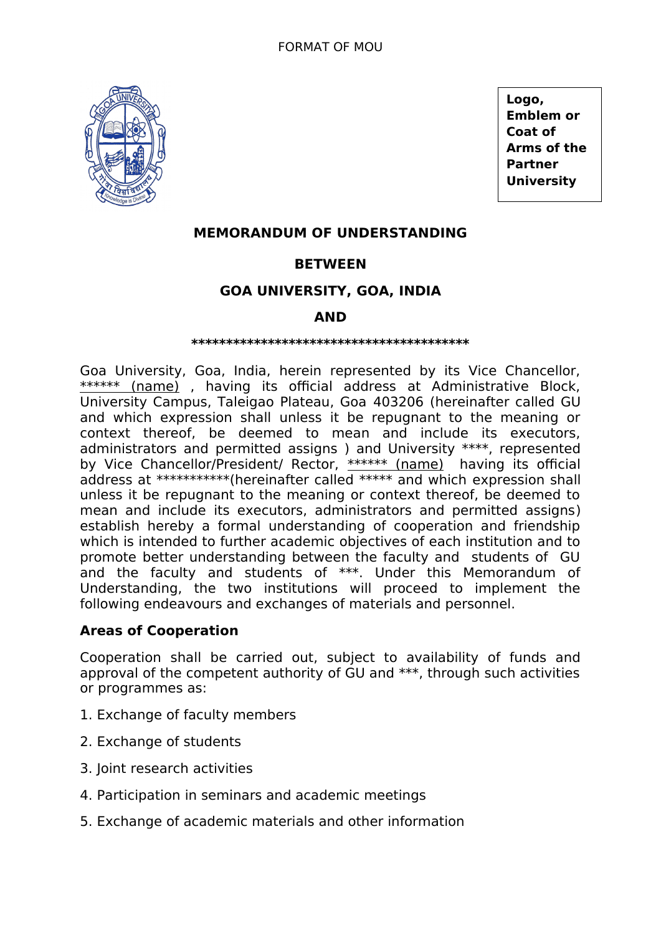

**Logo, Emblem or Coat of Arms of the Partner University**

# **MEMORANDUM OF UNDERSTANDING**

## **BETWEEN**

## **GOA UNIVERSITY, GOA, INDIA**

## **AND**

#### **\*\*\*\*\*\*\*\*\*\*\*\*\*\*\*\*\*\*\*\*\*\*\*\*\*\*\*\*\*\*\*\*\*\*\*\*\*\*\*\***

Goa University, Goa, India, herein represented by its Vice Chancellor, \*\*\*\*\*\* (name), having its official address at Administrative Block, University Campus, Taleigao Plateau, Goa 403206 (hereinafter called GU and which expression shall unless it be repugnant to the meaning or context thereof, be deemed to mean and include its executors, administrators and permitted assigns ) and University \*\*\*\*, represented by Vice Chancellor/President/ Rector, \*\*\*\*\*\* (name) having its official address at \*\*\*\*\*\*\*\*\*\*\*(hereinafter called \*\*\*\*\* and which expression shall unless it be repugnant to the meaning or context thereof, be deemed to mean and include its executors, administrators and permitted assigns) establish hereby a formal understanding of cooperation and friendship which is intended to further academic objectives of each institution and to promote better understanding between the faculty and students of GU and the faculty and students of \*\*\*. Under this Memorandum of Understanding, the two institutions will proceed to implement the following endeavours and exchanges of materials and personnel.

### **Areas of Cooperation**

Cooperation shall be carried out, subject to availability of funds and approval of the competent authority of GU and \*\*\*, through such activities or programmes as:

- 1. Exchange of faculty members
- 2. Exchange of students
- 3. Joint research activities
- 4. Participation in seminars and academic meetings
- 5. Exchange of academic materials and other information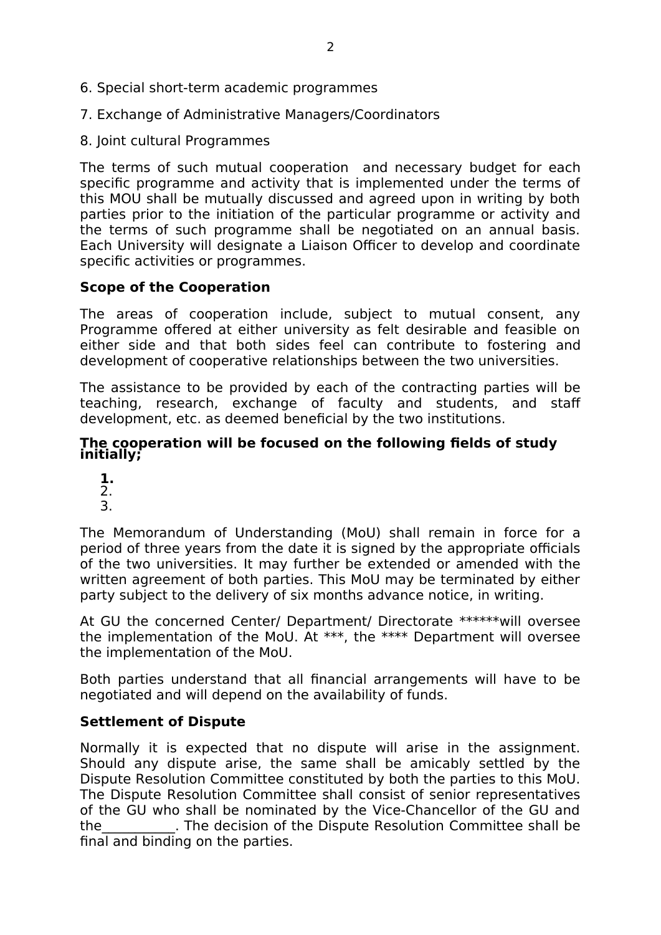- 6. Special short-term academic programmes
- 7. Exchange of Administrative Managers/Coordinators
- 8. Joint cultural Programmes

The terms of such mutual cooperation and necessary budget for each specific programme and activity that is implemented under the terms of this MOU shall be mutually discussed and agreed upon in writing by both parties prior to the initiation of the particular programme or activity and the terms of such programme shall be negotiated on an annual basis. Each University will designate a Liaison Officer to develop and coordinate specific activities or programmes.

## **Scope of the Cooperation**

The areas of cooperation include, subject to mutual consent, any Programme offered at either university as felt desirable and feasible on either side and that both sides feel can contribute to fostering and development of cooperative relationships between the two universities.

The assistance to be provided by each of the contracting parties will be teaching, research, exchange of faculty and students, and staff development, etc. as deemed beneficial by the two institutions.

### **The cooperation will be focused on the following fields of study initially;**

**1.** 2. 3.

The Memorandum of Understanding (MoU) shall remain in force for a period of three years from the date it is signed by the appropriate officials of the two universities. It may further be extended or amended with the written agreement of both parties. This MoU may be terminated by either party subject to the delivery of six months advance notice, in writing.

At GU the concerned Center/ Department/ Directorate \*\*\*\*\*\*will oversee the implementation of the MoU. At \*\*\*, the \*\*\*\* Department will oversee the implementation of the MoU.

Both parties understand that all financial arrangements will have to be negotiated and will depend on the availability of funds.

## **Settlement of Dispute**

Normally it is expected that no dispute will arise in the assignment. Should any dispute arise, the same shall be amicably settled by the Dispute Resolution Committee constituted by both the parties to this MoU. The Dispute Resolution Committee shall consist of senior representatives of the GU who shall be nominated by the Vice-Chancellor of the GU and the\_\_\_\_\_\_\_\_\_\_\_. The decision of the Dispute Resolution Committee shall be final and binding on the parties.